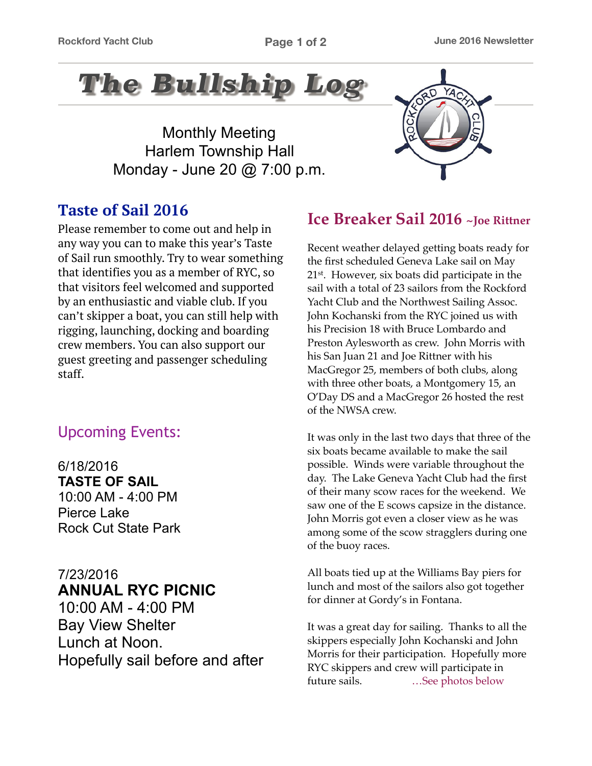

Monthly Meeting Harlem Township Hall Monday - June 20 @ 7:00 p.m.

## **Taste of Sail 2016**

Please remember to come out and help in any way you can to make this year's Taste of Sail run smoothly. Try to wear something that identifies you as a member of RYC, so that visitors feel welcomed and supported by an enthusiastic and viable club. If you can't skipper a boat, you can still help with rigging, launching, docking and boarding crew members. You can also support our guest greeting and passenger scheduling staff.

## Upcoming Events:

6/18/2016 **TASTE OF SAIL** 10:00 AM - 4:00 PM Pierce Lake Rock Cut State Park

#### 7/23/2016 **ANNUAL RYC PICNIC**

10:00 AM - 4:00 PM Bay View Shelter Lunch at Noon. Hopefully sail before and after



## **Ice Breaker Sail 2016 ~Joe Rittner**

Recent weather delayed getting boats ready for the first scheduled Geneva Lake sail on May 21st. However, six boats did participate in the sail with a total of 23 sailors from the Rockford Yacht Club and the Northwest Sailing Assoc. John Kochanski from the RYC joined us with his Precision 18 with Bruce Lombardo and Preston Aylesworth as crew. John Morris with his San Juan 21 and Joe Rittner with his MacGregor 25, members of both clubs, along with three other boats, a Montgomery 15, an O'Day DS and a MacGregor 26 hosted the rest of the NWSA crew.

It was only in the last two days that three of the six boats became available to make the sail possible. Winds were variable throughout the day. The Lake Geneva Yacht Club had the first of their many scow races for the weekend. We saw one of the E scows capsize in the distance. John Morris got even a closer view as he was among some of the scow stragglers during one of the buoy races.

All boats tied up at the Williams Bay piers for lunch and most of the sailors also got together for dinner at Gordy's in Fontana.

It was a great day for sailing. Thanks to all the skippers especially John Kochanski and John Morris for their participation. Hopefully more RYC skippers and crew will participate in future sails. ... See photos below